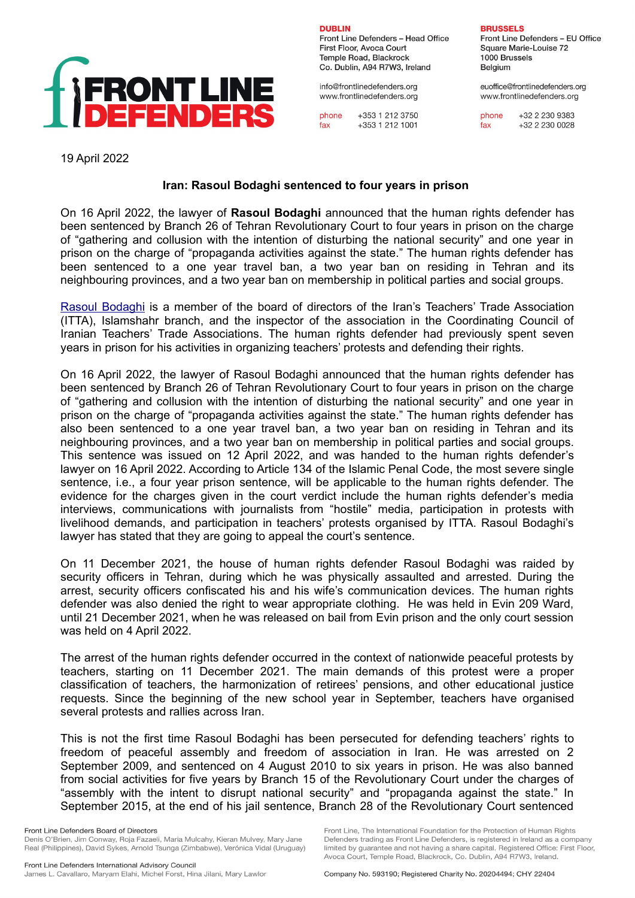

**DURLIN** Front Line Defenders - Head Office First Floor, Avoca Court Temple Road, Blackrock Co. Dublin, A94 R7W3, Ireland

info@frontlinedefenders.org www.frontlinedefenders.org

phone +353 1 212 3750 fax +353 1 212 1001 **BRUSSELS** 

Front Line Defenders - EU Office Square Marie-Louise 72 1000 Brussels Belgium

euoffice@frontlinedefenders.org www.frontlinedefenders.org

+32 2 230 9383 phone +32 2 230 0028 fax

19 April 2022

## **Iran: Rasoul Bodaghi sentenced to four years in prison**

On 16 April 2022, the lawyer of **Rasoul Bodaghi** announced that the human rights defender has been sentenced by Branch 26 of Tehran Revolutionary Court to four years in prison on the charge of "gathering and collusion with the intention of disturbing the national security" and one year in prison on the charge of "propaganda activities against the state." The human rights defender has been sentenced to a one year travel ban, a two year ban on residing in Tehran and its neighbouring provinces, and a two year ban on membership in political parties and social groups.

[Rasoul Bodaghi](https://www.frontlinedefenders.org/en/profile/rasoul-bodaghi) is a member of the board of directors of the Iran's Teachers' Trade Association (ITTA), Islamshahr branch, and the inspector of the association in the Coordinating Council of Iranian Teachers' Trade Associations. The human rights defender had previously spent seven years in prison for his activities in organizing teachers' protests and defending their rights.

On 16 April 2022, the lawyer of Rasoul Bodaghi announced that the human rights defender has been sentenced by Branch 26 of Tehran Revolutionary Court to four years in prison on the charge of "gathering and collusion with the intention of disturbing the national security" and one year in prison on the charge of "propaganda activities against the state." The human rights defender has also been sentenced to a one year travel ban, a two year ban on residing in Tehran and its neighbouring provinces, and a two year ban on membership in political parties and social groups. This sentence was issued on 12 April 2022, and was handed to the human rights defender's lawyer on 16 April 2022. According to Article 134 of the Islamic Penal Code, the most severe single sentence, i.e., a four year prison sentence, will be applicable to the human rights defender. The evidence for the charges given in the court verdict include the human rights defender's media interviews, communications with journalists from "hostile" media, participation in protests with livelihood demands, and participation in teachers' protests organised by ITTA. Rasoul Bodaghi's lawyer has stated that they are going to appeal the court's sentence.

On 11 December 2021, the house of human rights defender Rasoul Bodaghi was raided by security officers in Tehran, during which he was physically assaulted and arrested. During the arrest, security officers confiscated his and his wife's communication devices. The human rights defender was also denied the right to wear appropriate clothing. He was held in Evin 209 Ward, until 21 December 2021, when he was released on bail from Evin prison and the only court session was held on 4 April 2022.

The arrest of the human rights defender occurred in the context of nationwide peaceful protests by teachers, starting on 11 December 2021. The main demands of this protest were a proper classification of teachers, the harmonization of retirees' pensions, and other educational justice requests. Since the beginning of the new school year in September, teachers have organised several protests and rallies across Iran.

This is not the first time Rasoul Bodaghi has been persecuted for defending teachers' rights to freedom of peaceful assembly and freedom of association in Iran. He was arrested on 2 September 2009, and sentenced on 4 August 2010 to six years in prison. He was also banned from social activities for five years by Branch 15 of the Revolutionary Court under the charges of "assembly with the intent to disrupt national security" and "propaganda against the state." In September 2015, at the end of his jail sentence, Branch 28 of the Revolutionary Court sentenced

Front Line, The International Foundation for the Protection of Human Rights

Defenders trading as Front Line Defenders, is registered in Ireland as a company limited by guarantee and not having a share capital. Registered Office: First Floor,

Front Line Defenders Board of Directors Denis O'Brien, Jim Conway, Roja Fazaeli, Maria Mulcahy, Kieran Mulvey, Mary Jane Real (Philippines), David Sykes, Arnold Tsunga (Zimbabwe), Verónica Vidal (Uruguay)